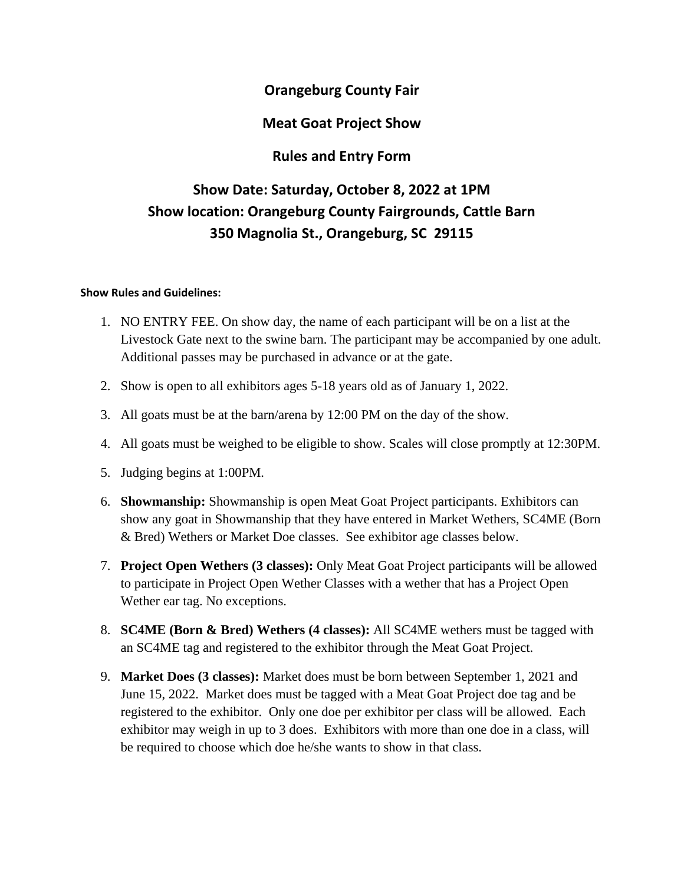# **Orangeburg County Fair**

# **Meat Goat Project Show**

# **Rules and Entry Form**

# **Show Date: Saturday, October 8, 2022 at 1PM Show location: Orangeburg County Fairgrounds, Cattle Barn 350 Magnolia St., Orangeburg, SC 29115**

#### **Show Rules and Guidelines:**

- 1. NO ENTRY FEE. On show day, the name of each participant will be on a list at the Livestock Gate next to the swine barn. The participant may be accompanied by one adult. Additional passes may be purchased in advance or at the gate.
- 2. Show is open to all exhibitors ages 5-18 years old as of January 1, 2022.
- 3. All goats must be at the barn/arena by 12:00 PM on the day of the show.
- 4. All goats must be weighed to be eligible to show. Scales will close promptly at 12:30PM.
- 5. Judging begins at 1:00PM.
- 6. **Showmanship:** Showmanship is open Meat Goat Project participants. Exhibitors can show any goat in Showmanship that they have entered in Market Wethers, SC4ME (Born & Bred) Wethers or Market Doe classes. See exhibitor age classes below.
- 7. **Project Open Wethers (3 classes):** Only Meat Goat Project participants will be allowed to participate in Project Open Wether Classes with a wether that has a Project Open Wether ear tag. No exceptions.
- 8. **SC4ME (Born & Bred) Wethers (4 classes):** All SC4ME wethers must be tagged with an SC4ME tag and registered to the exhibitor through the Meat Goat Project.
- 9. **Market Does (3 classes):** Market does must be born between September 1, 2021 and June 15, 2022. Market does must be tagged with a Meat Goat Project doe tag and be registered to the exhibitor. Only one doe per exhibitor per class will be allowed. Each exhibitor may weigh in up to 3 does. Exhibitors with more than one doe in a class, will be required to choose which doe he/she wants to show in that class.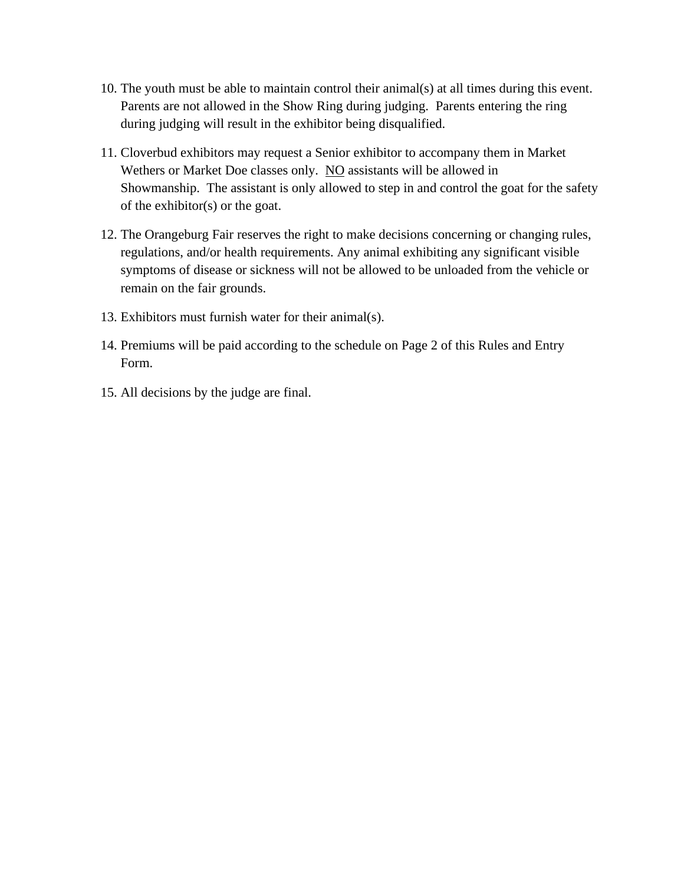- 10. The youth must be able to maintain control their animal(s) at all times during this event. Parents are not allowed in the Show Ring during judging. Parents entering the ring during judging will result in the exhibitor being disqualified.
- 11. Cloverbud exhibitors may request a Senior exhibitor to accompany them in Market Wethers or Market Doe classes only. NO assistants will be allowed in Showmanship. The assistant is only allowed to step in and control the goat for the safety of the exhibitor(s) or the goat.
- 12. The Orangeburg Fair reserves the right to make decisions concerning or changing rules, regulations, and/or health requirements. Any animal exhibiting any significant visible symptoms of disease or sickness will not be allowed to be unloaded from the vehicle or remain on the fair grounds.
- 13. Exhibitors must furnish water for their animal(s).
- 14. Premiums will be paid according to the schedule on Page 2 of this Rules and Entry Form.
- 15. All decisions by the judge are final.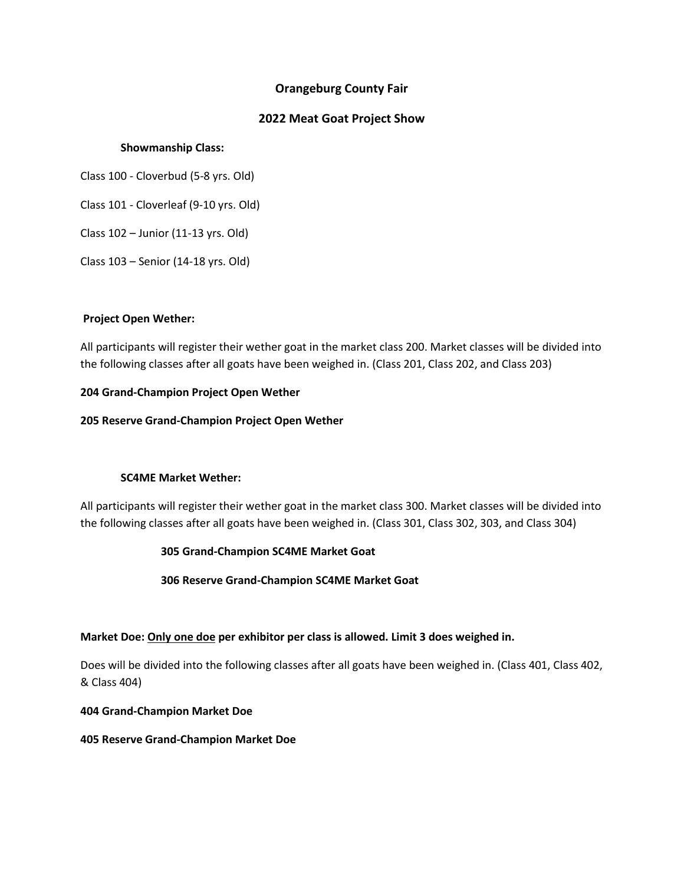## **Orangeburg County Fair**

### **2022 Meat Goat Project Show**

#### **Showmanship Class:**

Class 100 - Cloverbud (5-8 yrs. Old)

Class 101 - Cloverleaf (9-10 yrs. Old)

Class 102 – Junior (11-13 yrs. Old)

Class 103 – Senior (14-18 yrs. Old)

#### **Project Open Wether:**

All participants will register their wether goat in the market class 200. Market classes will be divided into the following classes after all goats have been weighed in. (Class 201, Class 202, and Class 203)

#### **204 Grand-Champion Project Open Wether**

**205 Reserve Grand-Champion Project Open Wether**

## **SC4ME Market Wether:**

All participants will register their wether goat in the market class 300. Market classes will be divided into the following classes after all goats have been weighed in. (Class 301, Class 302, 303, and Class 304)

## **305 Grand-Champion SC4ME Market Goat**

**306 Reserve Grand-Champion SC4ME Market Goat**

#### **Market Doe: Only one doe per exhibitor per class is allowed. Limit 3 does weighed in.**

Does will be divided into the following classes after all goats have been weighed in. (Class 401, Class 402, & Class 404)

**404 Grand-Champion Market Doe**

**405 Reserve Grand-Champion Market Doe**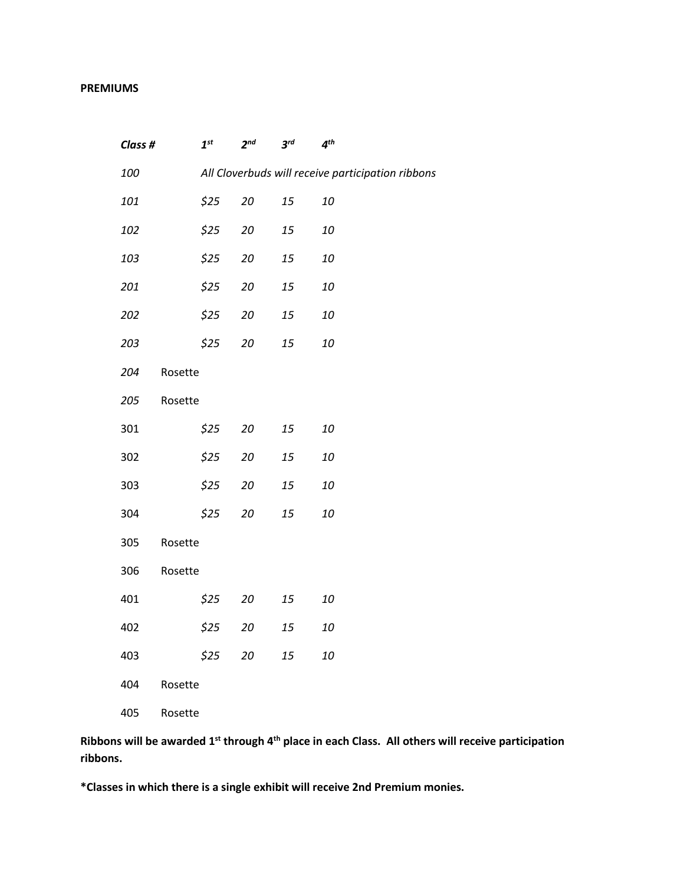#### **PREMIUMS**

| Class # |         | $\boldsymbol{1}^{\text{st}}$ | $2^{nd}$ | $3^{rd}$ | $4^{th}$                                          |
|---------|---------|------------------------------|----------|----------|---------------------------------------------------|
| 100     |         |                              |          |          | All Cloverbuds will receive participation ribbons |
| 101     |         | \$25                         | 20       | 15       | 10                                                |
| 102     |         | \$25                         | 20       | 15       | 10                                                |
| 103     |         | \$25                         | $20\,$   | 15       | 10                                                |
| 201     |         | \$25                         | 20       | 15       | 10                                                |
| 202     |         | \$25                         | 20       | 15       | 10                                                |
| 203     |         | \$25                         | 20       | 15       | 10                                                |
| 204     | Rosette |                              |          |          |                                                   |
| 205     | Rosette |                              |          |          |                                                   |
| 301     |         | \$25                         | 20       | 15       | 10                                                |
| 302     |         | \$25                         | $20\,$   | 15       | 10                                                |
| 303     |         | \$25                         | 20       | 15       | 10                                                |
| 304     |         | \$25                         | 20       | 15       | 10                                                |
| 305     | Rosette |                              |          |          |                                                   |
| 306     | Rosette |                              |          |          |                                                   |
| 401     |         | \$25                         | 20       | 15       | 10                                                |
| 402     |         | \$25                         | $20\,$   | 15       | 10                                                |
| 403     |         | \$25                         | 20       | 15       | 10                                                |
| 404     | Rosette |                              |          |          |                                                   |
| 405     | Rosette |                              |          |          |                                                   |

**Ribbons will be awarded 1st through 4th place in each Class. All others will receive participation ribbons.**

**\*Classes in which there is a single exhibit will receive 2nd Premium monies.**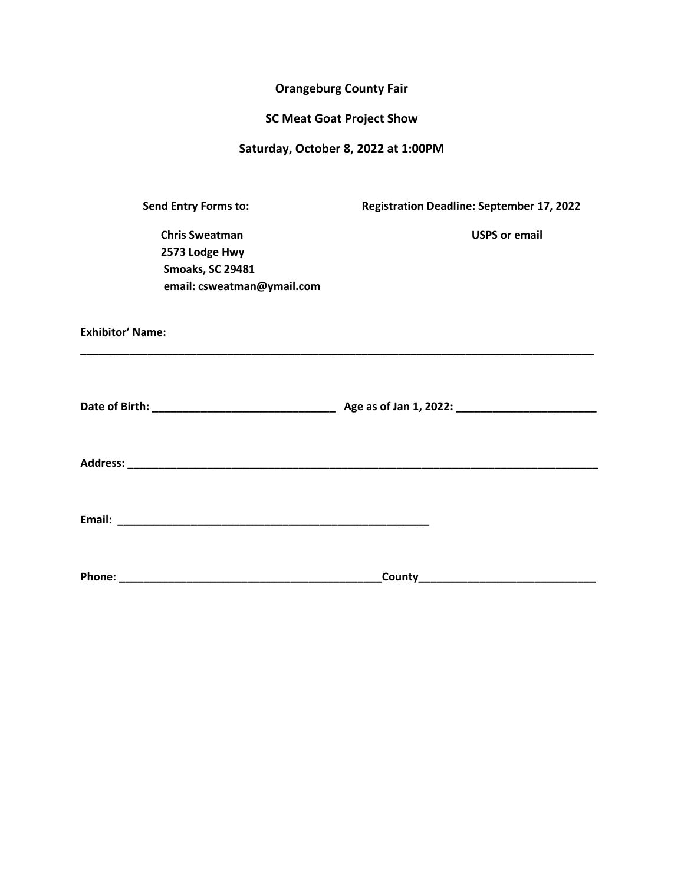#### **Orangeburg County Fair**

#### **SC Meat Goat Project Show**

#### **Saturday, October 8, 2022 at 1:00PM**

**Exhibitor' Name:** 

**Send Entry Forms to: Registration Deadline: September 17, 2022**

**Chris Sweatman Chris Sweatman Chris Sweatman 2573 Lodge Hwy Smoaks, SC 29481 email: csweatman@ymail.com** 

**\_\_\_\_\_\_\_\_\_\_\_\_\_\_\_\_\_\_\_\_\_\_\_\_\_\_\_\_\_\_\_\_\_\_\_\_\_\_\_\_\_\_\_\_\_\_\_\_\_\_\_\_\_\_\_\_\_\_\_\_\_\_\_\_\_\_\_\_\_\_\_\_\_\_\_\_\_\_\_\_\_\_\_\_ Date of Birth: \_\_\_\_\_\_\_\_\_\_\_\_\_\_\_\_\_\_\_\_\_\_\_\_\_\_\_\_\_\_ Age as of Jan 1, 2022: \_\_\_\_\_\_\_\_\_\_\_\_\_\_\_\_\_\_\_\_\_\_\_ Address: \_\_\_\_\_\_\_\_\_\_\_\_\_\_\_\_\_\_\_\_\_\_\_\_\_\_\_\_\_\_\_\_\_\_\_\_\_\_\_\_\_\_\_\_\_\_\_\_\_\_\_\_\_\_\_\_\_\_\_\_\_\_\_\_\_\_\_\_\_\_\_\_\_\_\_\_\_**

**Email: \_\_\_\_\_\_\_\_\_\_\_\_\_\_\_\_\_\_\_\_\_\_\_\_\_\_\_\_\_\_\_\_\_\_\_\_\_\_\_\_\_\_\_\_\_\_\_\_\_\_\_**

| <b>Phone:</b> |  |
|---------------|--|
|---------------|--|